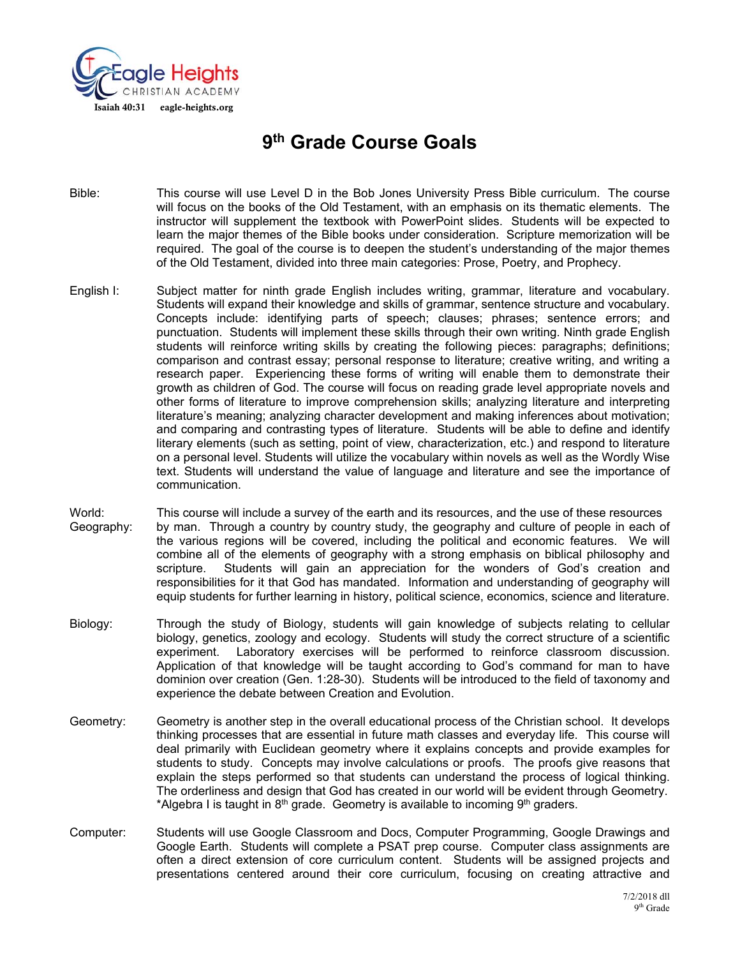

# **9th Grade Course Goals**

- Bible: This course will use Level D in the Bob Jones University Press Bible curriculum. The course will focus on the books of the Old Testament, with an emphasis on its thematic elements. The instructor will supplement the textbook with PowerPoint slides. Students will be expected to learn the major themes of the Bible books under consideration. Scripture memorization will be required. The goal of the course is to deepen the student's understanding of the major themes of the Old Testament, divided into three main categories: Prose, Poetry, and Prophecy.
- English I: Subject matter for ninth grade English includes writing, grammar, literature and vocabulary. Students will expand their knowledge and skills of grammar, sentence structure and vocabulary. Concepts include: identifying parts of speech; clauses; phrases; sentence errors; and punctuation. Students will implement these skills through their own writing. Ninth grade English students will reinforce writing skills by creating the following pieces: paragraphs; definitions; comparison and contrast essay; personal response to literature; creative writing, and writing a research paper. Experiencing these forms of writing will enable them to demonstrate their growth as children of God. The course will focus on reading grade level appropriate novels and other forms of literature to improve comprehension skills; analyzing literature and interpreting literature's meaning; analyzing character development and making inferences about motivation; and comparing and contrasting types of literature. Students will be able to define and identify literary elements (such as setting, point of view, characterization, etc.) and respond to literature on a personal level. Students will utilize the vocabulary within novels as well as the Wordly Wise text. Students will understand the value of language and literature and see the importance of communication.
- World: This course will include a survey of the earth and its resources, and the use of these resources Geography: by man. Through a country by country study, the geography and culture of people in each of the various regions will be covered, including the political and economic features. We will combine all of the elements of geography with a strong emphasis on biblical philosophy and scripture. Students will gain an appreciation for the wonders of God's creation and responsibilities for it that God has mandated. Information and understanding of geography will equip students for further learning in history, political science, economics, science and literature.
- Biology: Through the study of Biology, students will gain knowledge of subjects relating to cellular biology, genetics, zoology and ecology. Students will study the correct structure of a scientific experiment. Laboratory exercises will be performed to reinforce classroom discussion. Application of that knowledge will be taught according to God's command for man to have dominion over creation (Gen. 1:28-30). Students will be introduced to the field of taxonomy and experience the debate between Creation and Evolution.
- Geometry: Geometry is another step in the overall educational process of the Christian school. It develops thinking processes that are essential in future math classes and everyday life. This course will deal primarily with Euclidean geometry where it explains concepts and provide examples for students to study. Concepts may involve calculations or proofs. The proofs give reasons that explain the steps performed so that students can understand the process of logical thinking. The orderliness and design that God has created in our world will be evident through Geometry. \*Algebra I is taught in  $8<sup>th</sup>$  grade. Geometry is available to incoming  $9<sup>th</sup>$  graders.
- Computer: Students will use Google Classroom and Docs, Computer Programming, Google Drawings and Google Earth. Students will complete a PSAT prep course. Computer class assignments are often a direct extension of core curriculum content. Students will be assigned projects and presentations centered around their core curriculum, focusing on creating attractive and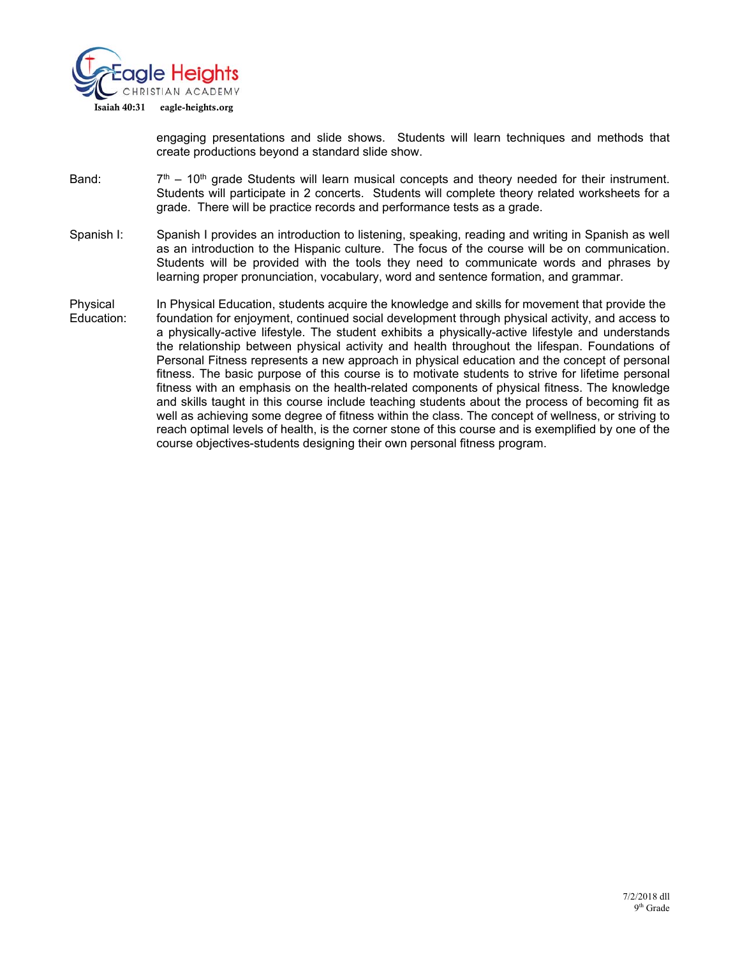

engaging presentations and slide shows. Students will learn techniques and methods that create productions beyond a standard slide show.

- Band:  $7<sup>th</sup> 10<sup>th</sup>$  grade Students will learn musical concepts and theory needed for their instrument. Students will participate in 2 concerts. Students will complete theory related worksheets for a grade. There will be practice records and performance tests as a grade.
- Spanish I: Spanish I provides an introduction to listening, speaking, reading and writing in Spanish as well as an introduction to the Hispanic culture. The focus of the course will be on communication. Students will be provided with the tools they need to communicate words and phrases by learning proper pronunciation, vocabulary, word and sentence formation, and grammar.
- Physical In Physical Education, students acquire the knowledge and skills for movement that provide the Education: foundation for enjoyment, continued social development through physical activity, and access to a physically-active lifestyle. The student exhibits a physically-active lifestyle and understands the relationship between physical activity and health throughout the lifespan. Foundations of Personal Fitness represents a new approach in physical education and the concept of personal fitness. The basic purpose of this course is to motivate students to strive for lifetime personal fitness with an emphasis on the health-related components of physical fitness. The knowledge and skills taught in this course include teaching students about the process of becoming fit as well as achieving some degree of fitness within the class. The concept of wellness, or striving to reach optimal levels of health, is the corner stone of this course and is exemplified by one of the course objectives-students designing their own personal fitness program.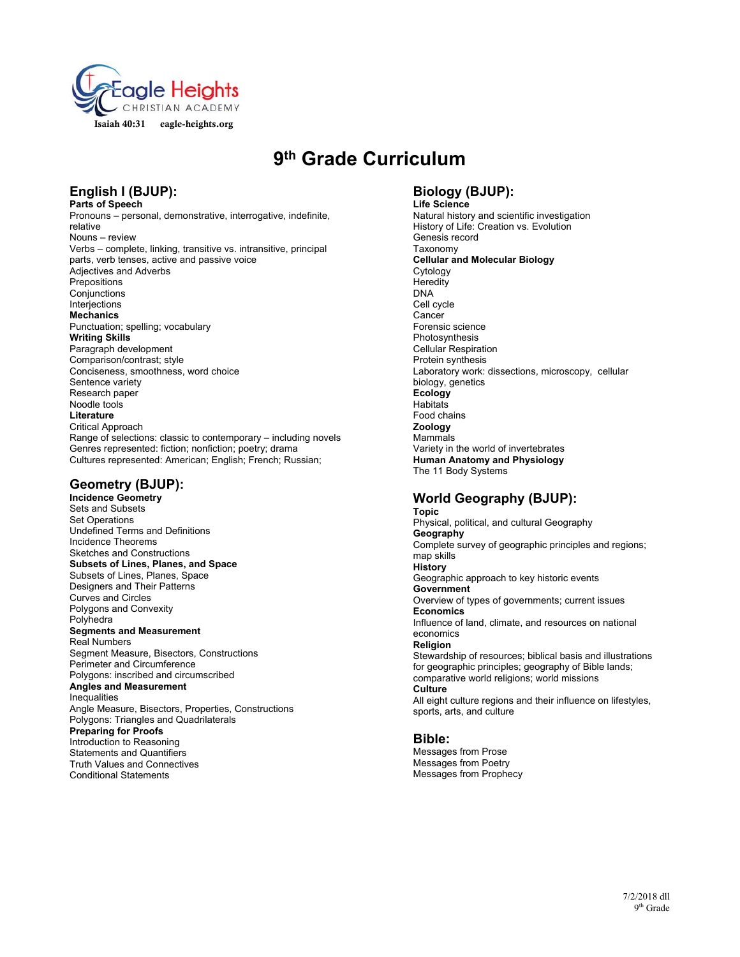

# **9th Grade Curriculum**

## **English I (BJUP):**

**Parts of Speech**  Pronouns – personal, demonstrative, interrogative, indefinite, relative Nouns – review Verbs – complete, linking, transitive vs. intransitive, principal parts, verb tenses, active and passive voice Adjectives and Adverbs **Prepositions** Conjunctions Interjections **Mechanics**  Punctuation; spelling; vocabulary **Writing Skills**  Paragraph development Comparison/contrast; style Conciseness, smoothness, word choice Sentence variety Research paper Noodle tools **Literature**  Critical Approach Range of selections: classic to contemporary – including novels Genres represented: fiction; nonfiction; poetry; drama Cultures represented: American; English; French; Russian;

### **Geometry (BJUP):**

**Incidence Geometry**  Sets and Subsets Set Operations Undefined Terms and Definitions Incidence Theorems Sketches and Constructions **Subsets of Lines, Planes, and Space**  Subsets of Lines, Planes, Space Designers and Their Patterns Curves and Circles Polygons and Convexity Polyhedra **Segments and Measurement**  Real Numbers Segment Measure, Bisectors, Constructions Perimeter and Circumference Polygons: inscribed and circumscribed **Angles and Measurement**  Inequalities Angle Measure, Bisectors, Properties, Constructions Polygons: Triangles and Quadrilaterals **Preparing for Proofs**  Introduction to Reasoning Statements and Quantifiers Truth Values and Connectives Conditional Statements

### **Biology (BJUP):**

**Life Science**  Natural history and scientific investigation History of Life: Creation vs. Evolution Genesis record Taxonomy **Cellular and Molecular Biology**  Cytology **Heredity** DNA Cell cycle Cancer Forensic science Photosynthesis Cellular Respiration Protein synthesis Laboratory work: dissections, microscopy, cellular biology, genetics **Ecology Habitats** Food chains **Zoology**  Mammals Variety in the world of invertebrates **Human Anatomy and Physiology**  The 11 Body Systems

#### **World Geography (BJUP): Topic**

Physical, political, and cultural Geography **Geography**  Complete survey of geographic principles and regions; map skills **History**  Geographic approach to key historic events **Government**  Overview of types of governments; current issues **Economics**  Influence of land, climate, and resources on national economics **Religion**  Stewardship of resources; biblical basis and illustrations for geographic principles; geography of Bible lands; comparative world religions; world missions **Culture**  All eight culture regions and their influence on lifestyles, sports, arts, and culture

#### **Bible:**

Messages from Prose Messages from Poetry Messages from Prophecy